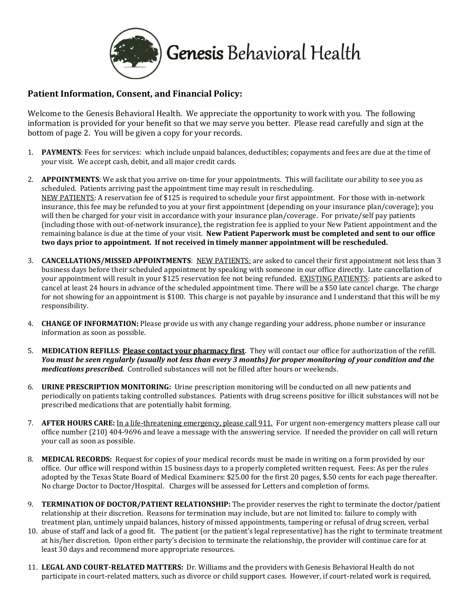

## **Patient Information, Consent, and Financial Policy:**

Welcome to the Genesis Behavioral Health. We appreciate the opportunity to work with you. The following information is provided for your benefit so that we may serve you better. Please read carefully and sign at the bottom of page 2. You will be given a copy for your records.

- 1. **PAYMENTS**: Fees for services: which include unpaid balances, deductibles; copayments and fees are due at the time of your visit. We accept cash, debit, and all major credit cards.
- 2. **APPOINTMENTS**: We ask that you arrive on-time for your appointments. This will facilitate our ability to see you as scheduled. Patients arriving past the appointment time may result in rescheduling. NEW PATIENTS: A reservation fee of \$125 is required to schedule your first appointment. For those with in-network insurance, this fee may be refunded to you at your first appointment (depending on your insurance plan/coverage); you will then be charged for your visit in accordance with your insurance plan/coverage. For private/self pay patients (including those with out-of-network insurance), the registration fee is applied to your New Patient appointment and the remaining balance is due at the time of your visit. **New Patient Paperwork must be completed and sent to our office two days prior to appointment. If not received in timely manner appointment will be rescheduled.**
- 3. **CANCELLATIONS/MISSED APPOINTMENTS**: NEW PATIENTS: are asked to cancel their first appointment not less than 3 business days before their scheduled appointment by speaking with someone in our office directly. Late cancellation of your appointment will result in your \$125 reservation fee not being refunded. EXISTING PATIENTS: patients are asked to cancel at least 24 hours in advance of the scheduled appointment time. There will be a \$50 late cancel charge. The charge for not showing for an appointment is \$100. This charge is not payable by insurance and I understand that this will be my responsibility.
- 4. **CHANGE OF INFORMATION:** Please provide us with any change regarding your address, phone number or insurance information as soon as possible.
- 5. **MEDICATION REFILLS**: **Please contact your pharmacy first**. They will contact our office for authorization of the refill. *You must be seen regularly (usually not less than every 3 months) for proper monitoring of your condition and the medications prescribed.* Controlled substances will not be filled after hours or weekends.
- 6. **URINE PRESCRIPTION MONITORING:** Urine prescription monitoring will be conducted on all new patients and periodically on patients taking controlled substances. Patients with drug screens positive for illicit substances will not be prescribed medications that are potentially habit forming.
- 7. **AFTER HOURS CARE:** In a life-threatening emergency, please call 911. For urgent non-emergency matters please call our office number (210) 404-9696 and leave a message with the answering service. If needed the provider on call will return your call as soon as possible.
- 8. **MEDICAL RECORDS:** Request for copies of your medical records must be made in writing on a form provided by our office. Our office will respond within 15 business days to a properly completed written request. Fees: As per the rules adopted by the Texas State Board of Medical Examiners: \$25.00 for the first 20 pages, \$.50 cents for each page thereafter. No charge Doctor to Doctor/Hospital. Charges will be assessed for Letters and completion of forms.
- 9. **TERMINATION OF DOCTOR/PATIENT RELATIONSHIP:** The provider reserves the right to terminate the doctor/patient relationship at their discretion. Reasons for termination may include, but are not limited to: failure to comply with treatment plan, untimely unpaid balances, history of missed appointments, tampering or refusal of drug screen, verbal
- 10. abuse of staff and lack of a good fit. The patient (or the patient's legal representative) has the right to terminate treatment at his/her discretion. Upon either party's decision to terminate the relationship, the provider will continue care for at least 30 days and recommend more appropriate resources.
- 11. **LEGAL AND COURT-RELATED MATTERS:** Dr. Williams and the providers with Genesis Behavioral Health do not participate in court-related matters, such as divorce or child support cases. However, if court-related work is required,